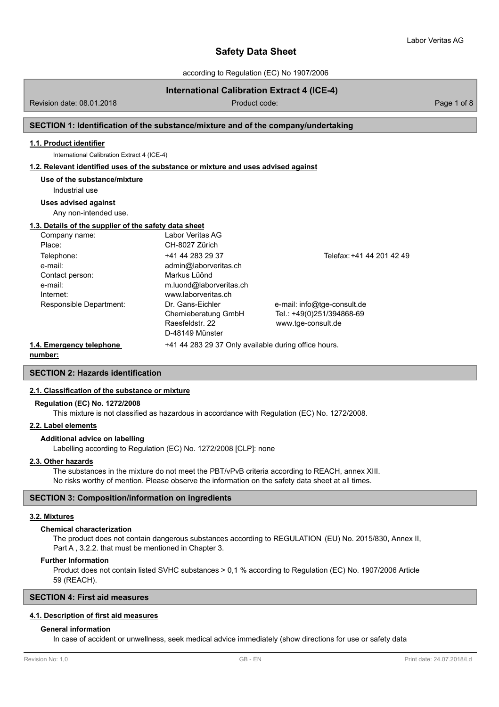according to Regulation (EC) No 1907/2006

# **International Calibration Extract 4 (ICE-4)**

Revision date: 08.01.2018 **Product code:** Product code: Product code: Page 1 of 8

# **SECTION 1: Identification of the substance/mixture and of the company/undertaking**

# **1.1. Product identifier**

International Calibration Extract 4 (ICE-4)

#### **1.2. Relevant identified uses of the substance or mixture and uses advised against**

**Use of the substance/mixture**

Industrial use

# **Uses advised against**

Any non-intended use.

### **1.3. Details of the supplier of the safety data sheet**

| Company name:            | Labor Veritas AG                                     |                             |
|--------------------------|------------------------------------------------------|-----------------------------|
| Place:                   | CH-8027 Zürich                                       |                             |
| Telephone:               | +41 44 283 29 37                                     | Telefax: +41 44 201 42 49   |
| e-mail:                  | admin@laborveritas.ch                                |                             |
| Contact person:          | Markus Lüönd                                         |                             |
| e-mail:                  | m.luond@laborveritas.ch                              |                             |
| Internet:                | www.laborveritas.ch                                  |                             |
| Responsible Department:  | Dr. Gans-Eichler                                     | e-mail: info@tge-consult.de |
|                          | Chemieberatung GmbH                                  | Tel.: +49(0)251/394868-69   |
|                          | Raesfeldstr. 22                                      | www.tge-consult.de          |
|                          | D-48149 Münster                                      |                             |
| 1.4. Emergency telephone | +41 44 283 29 37 Only available during office hours. |                             |

**number:**

**SECTION 2: Hazards identification**

### **2.1. Classification of the substance or mixture**

### **Regulation (EC) No. 1272/2008**

This mixture is not classified as hazardous in accordance with Regulation (EC) No. 1272/2008.

# **2.2. Label elements**

#### **Additional advice on labelling**

Labelling according to Regulation (EC) No. 1272/2008 [CLP]: none

### **2.3. Other hazards**

The substances in the mixture do not meet the PBT/vPvB criteria according to REACH, annex XIII. No risks worthy of mention. Please observe the information on the safety data sheet at all times.

## **SECTION 3: Composition/information on ingredients**

### **3.2. Mixtures**

#### **Chemical characterization**

The product does not contain dangerous substances according to REGULATION (EU) No. 2015/830, Annex II, Part A , 3.2.2. that must be mentioned in Chapter 3.

#### **Further Information**

Product does not contain listed SVHC substances > 0,1 % according to Regulation (EC) No. 1907/2006 Article 59 (REACH).

# **SECTION 4: First aid measures**

# **4.1. Description of first aid measures**

### **General information**

In case of accident or unwellness, seek medical advice immediately (show directions for use or safety data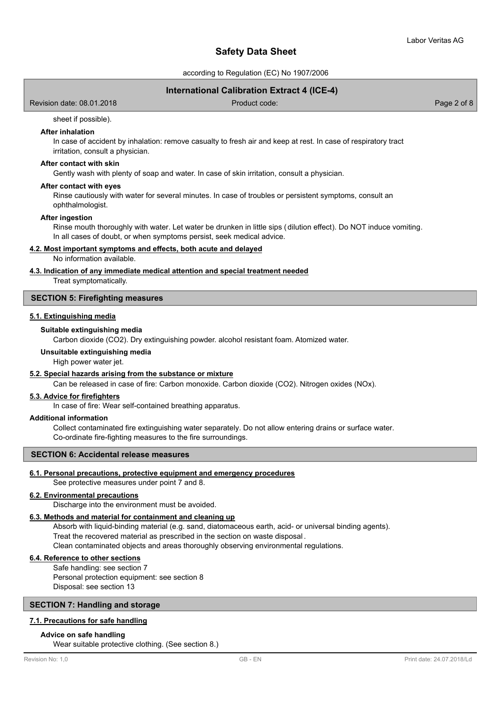according to Regulation (EC) No 1907/2006

# **International Calibration Extract 4 (ICE-4)**

Revision date: 08.01.2018 Product code: Page 2 of 8

### sheet if possible).

# **After inhalation**

In case of accident by inhalation: remove casualty to fresh air and keep at rest. In case of respiratory tract irritation, consult a physician.

### **After contact with skin**

Gently wash with plenty of soap and water. In case of skin irritation, consult a physician.

#### **After contact with eyes**

Rinse cautiously with water for several minutes. In case of troubles or persistent symptoms, consult an ophthalmologist.

#### **After ingestion**

Rinse mouth thoroughly with water. Let water be drunken in little sips (dilution effect). Do NOT induce vomiting. In all cases of doubt, or when symptoms persist, seek medical advice.

### **4.2. Most important symptoms and effects, both acute and delayed**

No information available.

## **4.3. Indication of any immediate medical attention and special treatment needed**

Treat symptomatically.

## **SECTION 5: Firefighting measures**

## **5.1. Extinguishing media**

## **Suitable extinguishing media**

Carbon dioxide (CO2). Dry extinguishing powder. alcohol resistant foam. Atomized water.

**Unsuitable extinguishing media**

High power water jet.

# **5.2. Special hazards arising from the substance or mixture**

Can be released in case of fire: Carbon monoxide. Carbon dioxide (CO2). Nitrogen oxides (NOx).

## **5.3. Advice for firefighters**

In case of fire: Wear self-contained breathing apparatus.

# **Additional information**

Collect contaminated fire extinguishing water separately. Do not allow entering drains or surface water. Co-ordinate fire-fighting measures to the fire surroundings.

# **SECTION 6: Accidental release measures**

### **6.1. Personal precautions, protective equipment and emergency procedures**

See protective measures under point 7 and 8.

# **6.2. Environmental precautions**

Discharge into the environment must be avoided.

## **6.3. Methods and material for containment and cleaning up**

Absorb with liquid-binding material (e.g. sand, diatomaceous earth, acid- or universal binding agents). Treat the recovered material as prescribed in the section on waste disposal .

Clean contaminated objects and areas thoroughly observing environmental regulations.

# **6.4. Reference to other sections**

Safe handling: see section 7 Personal protection equipment: see section 8 Disposal: see section 13

# **SECTION 7: Handling and storage**

# **7.1. Precautions for safe handling**

### **Advice on safe handling**

Wear suitable protective clothing. (See section 8.)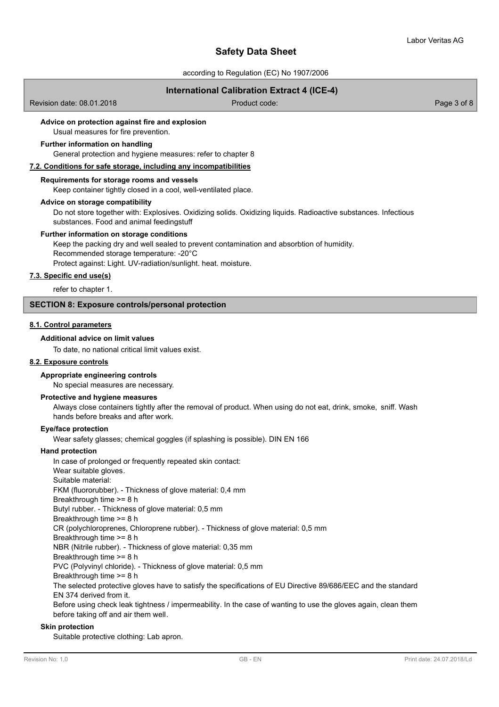according to Regulation (EC) No 1907/2006

# **International Calibration Extract 4 (ICE-4)**

Revision date: 08.01.2018 Product code: Page 3 of 8

# **Advice on protection against fire and explosion**

Usual measures for fire prevention.

### **Further information on handling**

General protection and hygiene measures: refer to chapter 8

#### **7.2. Conditions for safe storage, including any incompatibilities**

### **Requirements for storage rooms and vessels**

Keep container tightly closed in a cool, well-ventilated place.

#### **Advice on storage compatibility**

Do not store together with: Explosives. Oxidizing solids. Oxidizing liquids. Radioactive substances. Infectious substances. Food and animal feedingstuff

### **Further information on storage conditions**

Keep the packing dry and well sealed to prevent contamination and absorbtion of humidity. Recommended storage temperature: -20°C Protect against: Light. UV-radiation/sunlight. heat. moisture.

#### **7.3. Specific end use(s)**

refer to chapter 1.

# **SECTION 8: Exposure controls/personal protection**

# **8.1. Control parameters**

# **Additional advice on limit values**

To date, no national critical limit values exist.

### **8.2. Exposure controls**

#### **Appropriate engineering controls**

No special measures are necessary.

#### **Protective and hygiene measures**

Always close containers tightly after the removal of product. When using do not eat, drink, smoke, sniff. Wash hands before breaks and after work.

#### **Eye/face protection**

Wear safety glasses; chemical goggles (if splashing is possible). DIN EN 166

#### **Hand protection**

In case of prolonged or frequently repeated skin contact: Wear suitable gloves. Suitable material: FKM (fluororubber). - Thickness of glove material: 0,4 mm Breakthrough time >= 8 h Butyl rubber. - Thickness of glove material: 0,5 mm Breakthrough time >= 8 h CR (polychloroprenes, Chloroprene rubber). - Thickness of glove material: 0,5 mm Breakthrough time >= 8 h NBR (Nitrile rubber). - Thickness of glove material: 0,35 mm Breakthrough time >= 8 h PVC (Polyvinyl chloride). - Thickness of glove material: 0,5 mm Breakthrough time >= 8 h The selected protective gloves have to satisfy the specifications of EU Directive 89/686/EEC and the standard EN 374 derived from it. Before using check leak tightness / impermeability. In the case of wanting to use the gloves again, clean them before taking off and air them well.

#### **Skin protection**

Suitable protective clothing: Lab apron.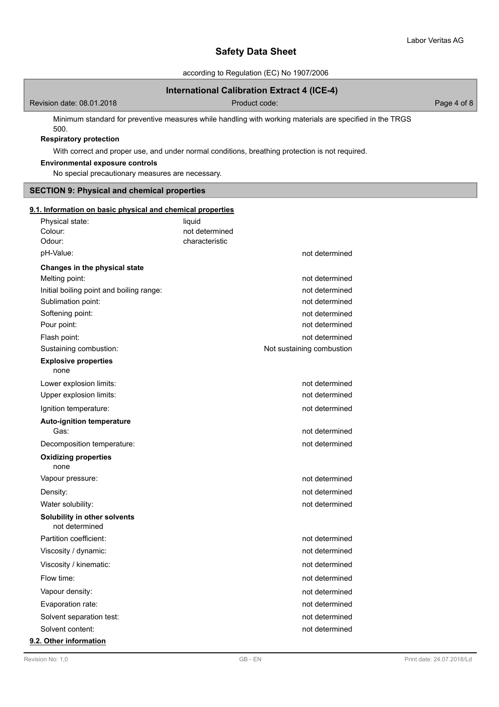according to Regulation (EC) No 1907/2006

# **International Calibration Extract 4 (ICE-4)**

Revision date: 08.01.2018 and 2010 Contract Code: Product code: Page 4 of 8

Minimum standard for preventive measures while handling with working materials are specified in the TRGS 500.

# **Respiratory protection**

With correct and proper use, and under normal conditions, breathing protection is not required.

# **Environmental exposure controls**

No special precautionary measures are necessary.

# **SECTION 9: Physical and chemical properties**

| 9.1. Information on basic physical and chemical properties |                |                           |
|------------------------------------------------------------|----------------|---------------------------|
| Physical state:                                            | liquid         |                           |
| Colour:                                                    | not determined |                           |
| Odour:                                                     | characteristic |                           |
| pH-Value:                                                  |                | not determined            |
| Changes in the physical state                              |                |                           |
| Melting point:                                             |                | not determined            |
| Initial boiling point and boiling range:                   |                | not determined            |
| Sublimation point:                                         |                | not determined            |
| Softening point:                                           |                | not determined            |
| Pour point:                                                |                | not determined            |
| Flash point:                                               |                | not determined            |
| Sustaining combustion:                                     |                | Not sustaining combustion |
| <b>Explosive properties</b><br>none                        |                |                           |
| Lower explosion limits:                                    |                | not determined            |
| Upper explosion limits:                                    |                | not determined            |
| Ignition temperature:                                      |                | not determined            |
| <b>Auto-ignition temperature</b><br>Gas:                   |                | not determined            |
| Decomposition temperature:                                 |                | not determined            |
| <b>Oxidizing properties</b><br>none                        |                |                           |
| Vapour pressure:                                           |                | not determined            |
| Density:                                                   |                | not determined            |
| Water solubility:                                          |                | not determined            |
| Solubility in other solvents<br>not determined             |                |                           |
| Partition coefficient:                                     |                | not determined            |
| Viscosity / dynamic:                                       |                | not determined            |
| Viscosity / kinematic:                                     |                | not determined            |
| Flow time:                                                 |                | not determined            |
| Vapour density:                                            |                | not determined            |
| Evaporation rate:                                          |                | not determined            |
| Solvent separation test:                                   |                | not determined            |
| Solvent content:                                           |                | not determined            |
| $\sim$ $\sim$ $\sim$ $\sim$                                |                |                           |

# **9.2. Other information**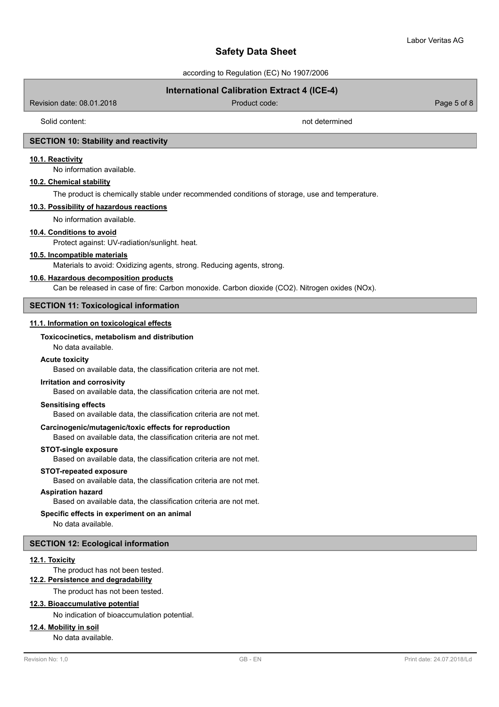according to Regulation (EC) No 1907/2006

# **International Calibration Extract 4 (ICE-4)**

Revision date: 08.01.2018 Product code: Page 5 of 8

Solid content: not determined

# **SECTION 10: Stability and reactivity**

## **10.1. Reactivity**

No information available.

# **10.2. Chemical stability**

The product is chemically stable under recommended conditions of storage, use and temperature.

# **10.3. Possibility of hazardous reactions**

No information available.

# **10.4. Conditions to avoid**

Protect against: UV-radiation/sunlight. heat.

### **10.5. Incompatible materials**

Materials to avoid: Oxidizing agents, strong. Reducing agents, strong.

### **10.6. Hazardous decomposition products**

Can be released in case of fire: Carbon monoxide. Carbon dioxide (CO2). Nitrogen oxides (NOx).

### **SECTION 11: Toxicological information**

### **11.1. Information on toxicological effects**

# **Toxicocinetics, metabolism and distribution**

No data available.

#### **Acute toxicity**

Based on available data, the classification criteria are not met.

## **Irritation and corrosivity**

Based on available data, the classification criteria are not met.

## **Sensitising effects**

Based on available data, the classification criteria are not met.

### **Carcinogenic/mutagenic/toxic effects for reproduction**

Based on available data, the classification criteria are not met.

#### **STOT-single exposure**

Based on available data, the classification criteria are not met.

#### **STOT-repeated exposure**

Based on available data, the classification criteria are not met.

# **Aspiration hazard**

Based on available data, the classification criteria are not met.

# **Specific effects in experiment on an animal**

No data available.

# **SECTION 12: Ecological information**

#### **12.1. Toxicity**

The product has not been tested.

# **12.2. Persistence and degradability**

The product has not been tested.

# **12.3. Bioaccumulative potential**

#### No indication of bioaccumulation potential.

# **12.4. Mobility in soil**

No data available.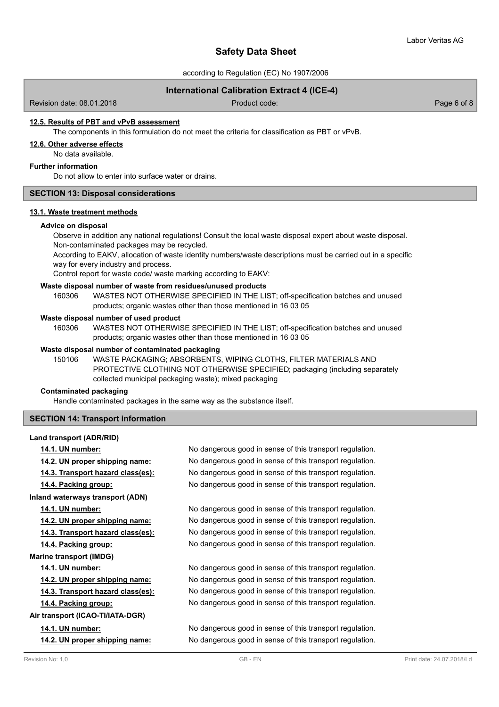according to Regulation (EC) No 1907/2006

# **International Calibration Extract 4 (ICE-4)**

Revision date: 08.01.2018 Product code: Page 6 of 8

# **12.5. Results of PBT and vPvB assessment**

The components in this formulation do not meet the criteria for classification as PBT or vPvB.

#### **12.6. Other adverse effects**

No data available.

### **Further information**

Do not allow to enter into surface water or drains.

# **SECTION 13: Disposal considerations**

#### **13.1. Waste treatment methods**

### **Advice on disposal**

Observe in addition any national regulations! Consult the local waste disposal expert about waste disposal. Non-contaminated packages may be recycled.

According to EAKV, allocation of waste identity numbers/waste descriptions must be carried out in a specific way for every industry and process.

Control report for waste code/ waste marking according to EAKV:

#### **Waste disposal number of waste from residues/unused products**

160306 WASTES NOT OTHERWISE SPECIFIED IN THE LIST; off-specification batches and unused products; organic wastes other than those mentioned in 16 03 05

### **Waste disposal number of used product**

WASTES NOT OTHERWISE SPECIFIED IN THE LIST; off-specification batches and unused products; organic wastes other than those mentioned in 16 03 05 160306

### **Waste disposal number of contaminated packaging**

WASTE PACKAGING; ABSORBENTS, WIPING CLOTHS, FILTER MATERIALS AND PROTECTIVE CLOTHING NOT OTHERWISE SPECIFIED; packaging (including separately collected municipal packaging waste); mixed packaging 150106

### **Contaminated packaging**

Handle contaminated packages in the same way as the substance itself.

# **SECTION 14: Transport information**

### **Land transport (ADR/RID)**

| 14.1. UN number:                      | No dangerous good in sense of this transport regulation. |
|---------------------------------------|----------------------------------------------------------|
| <u>14.2. UN proper shipping name:</u> | No dangerous good in sense of this transport regulation. |
| 14.3. Transport hazard class(es):     | No dangerous good in sense of this transport regulation. |
| 14.4. Packing group:                  | No dangerous good in sense of this transport regulation. |
| Inland waterways transport (ADN)      |                                                          |
| 14.1. UN number:                      | No dangerous good in sense of this transport regulation. |
| 14.2. UN proper shipping name:        | No dangerous good in sense of this transport regulation. |
| 14.3. Transport hazard class(es):     | No dangerous good in sense of this transport regulation. |
| 14.4. Packing group:                  | No dangerous good in sense of this transport regulation. |
| <b>Marine transport (IMDG)</b>        |                                                          |
| 14.1. UN number:                      | No dangerous good in sense of this transport regulation. |
| 14.2. UN proper shipping name:        | No dangerous good in sense of this transport regulation. |
| 14.3. Transport hazard class(es):     | No dangerous good in sense of this transport regulation. |
| 14.4. Packing group:                  | No dangerous good in sense of this transport regulation. |
| Air transport (ICAO-TI/IATA-DGR)      |                                                          |
| 14.1. UN number:                      | No dangerous good in sense of this transport regulation. |
| 14.2. UN proper shipping name:        | No dangerous good in sense of this transport regulation. |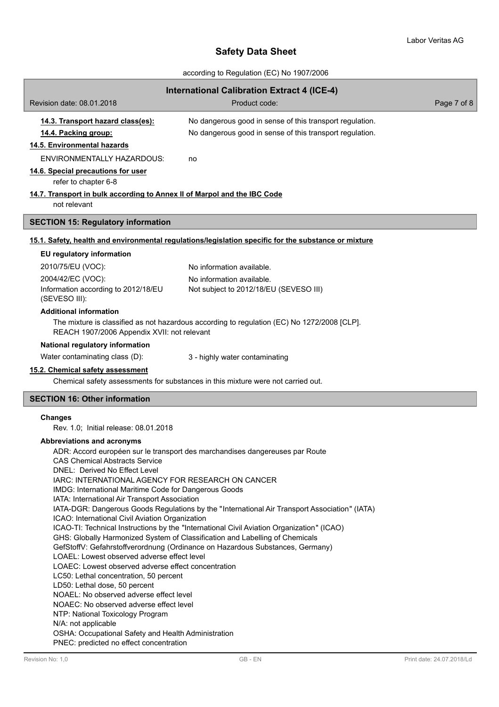according to Regulation (EC) No 1907/2006

| <b>International Calibration Extract 4 (ICE-4)</b><br>Revision date: 08.01.2018<br>Product code:       |                                                                                                                                                               |             |  |  |
|--------------------------------------------------------------------------------------------------------|---------------------------------------------------------------------------------------------------------------------------------------------------------------|-------------|--|--|
|                                                                                                        |                                                                                                                                                               | Page 7 of 8 |  |  |
| 14.3. Transport hazard class(es):                                                                      | No dangerous good in sense of this transport regulation.                                                                                                      |             |  |  |
| 14.4. Packing group:                                                                                   | No dangerous good in sense of this transport regulation.                                                                                                      |             |  |  |
| 14.5. Environmental hazards                                                                            |                                                                                                                                                               |             |  |  |
| <b>ENVIRONMENTALLY HAZARDOUS:</b>                                                                      | no                                                                                                                                                            |             |  |  |
| 14.6. Special precautions for user<br>refer to chapter 6-8                                             |                                                                                                                                                               |             |  |  |
| 14.7. Transport in bulk according to Annex II of Marpol and the IBC Code<br>not relevant               |                                                                                                                                                               |             |  |  |
| <b>SECTION 15: Regulatory information</b>                                                              |                                                                                                                                                               |             |  |  |
|                                                                                                        | 15.1. Safety, health and environmental regulations/legislation specific for the substance or mixture                                                          |             |  |  |
| EU regulatory information                                                                              |                                                                                                                                                               |             |  |  |
| 2010/75/EU (VOC):                                                                                      | No information available.                                                                                                                                     |             |  |  |
| 2004/42/EC (VOC):                                                                                      | No information available.                                                                                                                                     |             |  |  |
| Information according to 2012/18/EU<br>(SEVESO III):                                                   | Not subject to 2012/18/EU (SEVESO III)                                                                                                                        |             |  |  |
| <b>Additional information</b>                                                                          |                                                                                                                                                               |             |  |  |
| REACH 1907/2006 Appendix XVII: not relevant                                                            | The mixture is classified as not hazardous according to regulation (EC) No 1272/2008 [CLP].                                                                   |             |  |  |
| National regulatory information                                                                        |                                                                                                                                                               |             |  |  |
| Water contaminating class (D):                                                                         | 3 - highly water contaminating                                                                                                                                |             |  |  |
| 15.2. Chemical safety assessment                                                                       | Chemical safety assessments for substances in this mixture were not carried out.                                                                              |             |  |  |
| <b>SECTION 16: Other information</b>                                                                   |                                                                                                                                                               |             |  |  |
|                                                                                                        |                                                                                                                                                               |             |  |  |
| <b>Changes</b><br>Rev. 1.0: Initial release: 08.01.2018                                                |                                                                                                                                                               |             |  |  |
| Abbreviations and acronyms                                                                             |                                                                                                                                                               |             |  |  |
|                                                                                                        | ADR: Accord européen sur le transport des marchandises dangereuses par Route                                                                                  |             |  |  |
| CAS Chemical Abstracts Service                                                                         |                                                                                                                                                               |             |  |  |
| DNEL: Derived No Effect Level                                                                          |                                                                                                                                                               |             |  |  |
| IARC: INTERNATIONAL AGENCY FOR RESEARCH ON CANCER                                                      |                                                                                                                                                               |             |  |  |
| IMDG: International Maritime Code for Dangerous Goods<br>IATA: International Air Transport Association |                                                                                                                                                               |             |  |  |
|                                                                                                        | IATA-DGR: Dangerous Goods Regulations by the "International Air Transport Association" (IATA)                                                                 |             |  |  |
| ICAO: International Civil Aviation Organization                                                        |                                                                                                                                                               |             |  |  |
|                                                                                                        | ICAO-TI: Technical Instructions by the "International Civil Aviation Organization" (ICAO)                                                                     |             |  |  |
|                                                                                                        | GHS: Globally Harmonized System of Classification and Labelling of Chemicals<br>GefStoffV: Gefahrstoffverordnung (Ordinance on Hazardous Substances, Germany) |             |  |  |
| LOAEL: Lowest observed adverse effect level                                                            |                                                                                                                                                               |             |  |  |
| LOAEC: Lowest observed adverse effect concentration                                                    |                                                                                                                                                               |             |  |  |
| LC50: Lethal concentration, 50 percent                                                                 |                                                                                                                                                               |             |  |  |
| LD50: Lethal dose, 50 percent<br>NOAEL: No observed adverse effect level                               |                                                                                                                                                               |             |  |  |
| NOAEC: No observed adverse effect level                                                                |                                                                                                                                                               |             |  |  |
| NTP: National Toxicology Program                                                                       |                                                                                                                                                               |             |  |  |
| N/A: not applicable                                                                                    |                                                                                                                                                               |             |  |  |
| OSHA: Occupational Safety and Health Administration<br>PNEC: predicted no effect concentration         |                                                                                                                                                               |             |  |  |